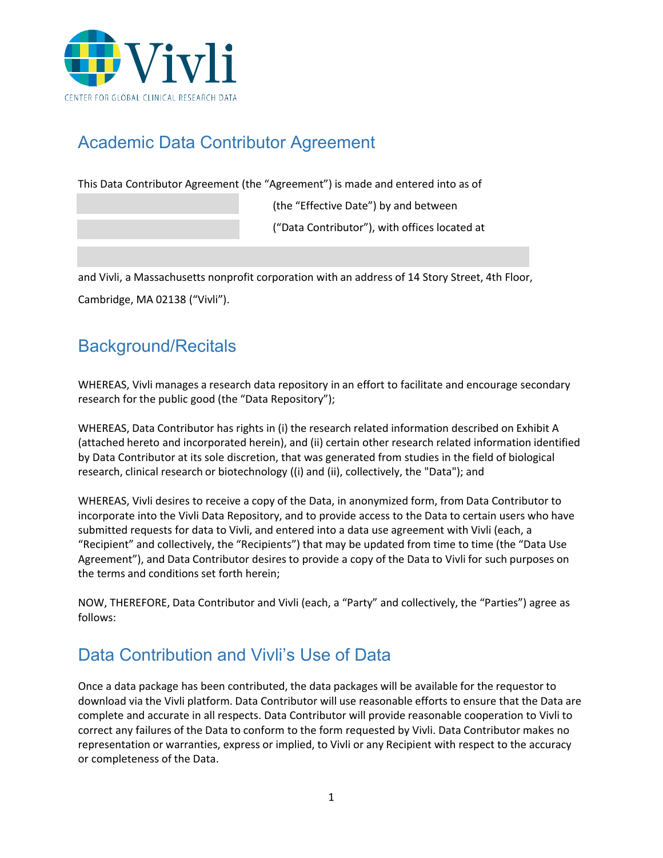

# Academic Data Contributor Agreement

This Data Contributor Agreement (the "Agreement") is made and entered into as of

(the "Effective Date") by and between ("Data Contributor"), with offices located at

and Vivli, a Massachusetts nonprofit corporation with an address of 14 Story Street, 4th Floor, Cambridge, MA 02138 ("Vivli").

#### Background/Recitals

WHEREAS, Vivli manages a research data repository in an effort to facilitate and encourage secondary research for the public good (the "Data Repository");

WHEREAS, Data Contributor has rights in (i) the research related information described on Exhibit A (attached hereto and incorporated herein), and (ii) certain other research related information identified by Data Contributor at its sole discretion, that was generated from studies in the field of biological research, clinical research or biotechnology ((i) and (ii), collectively, the "Data"); and

WHEREAS, Vivli desires to receive a copy of the Data, in anonymized form, from Data Contributor to incorporate into the Vivli Data Repository, and to provide access to the Data to certain users who have submitted requests for data to Vivli, and entered into a data use agreement with Vivli (each, a "Recipient" and collectively, the "Recipients") that may be updated from time to time (the "Data Use Agreement"), and Data Contributor desires to provide a copy of the Data to Vivli for such purposes on the terms and conditions set forth herein;

NOW, THEREFORE, Data Contributor and Vivli (each, a "Party" and collectively, the "Parties") agree as follows:

#### Data Contribution and Vivli's Use of Data

Once a data package has been contributed, the data packages will be available for the requestor to download via the Vivli platform. Data Contributor will use reasonable efforts to ensure that the Data are complete and accurate in all respects. Data Contributor will provide reasonable cooperation to Vivli to correct any failures of the Data to conform to the form requested by Vivli. Data Contributor makes no representation or warranties, express or implied, to Vivli or any Recipient with respect to the accuracy or completeness of the Data.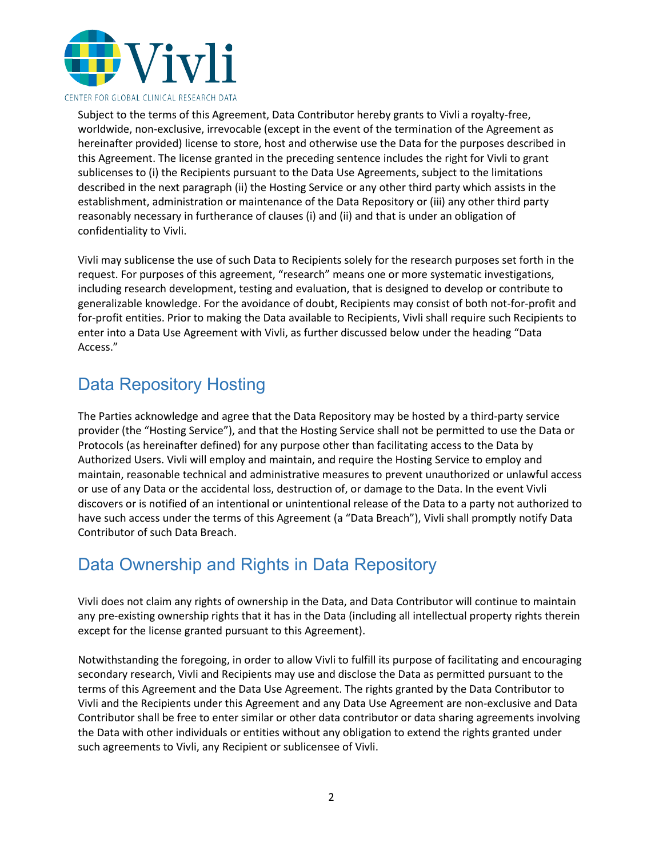

Subject to the terms of this Agreement, Data Contributor hereby grants to Vivli a royalty-free, worldwide, non-exclusive, irrevocable (except in the event of the termination of the Agreement as hereinafter provided) license to store, host and otherwise use the Data for the purposes described in this Agreement. The license granted in the preceding sentence includes the right for Vivli to grant sublicenses to (i) the Recipients pursuant to the Data Use Agreements, subject to the limitations described in the next paragraph (ii) the Hosting Service or any other third party which assists in the establishment, administration or maintenance of the Data Repository or (iii) any other third party reasonably necessary in furtherance of clauses (i) and (ii) and that is under an obligation of confidentiality to Vivli.

Vivli may sublicense the use of such Data to Recipients solely for the research purposes set forth in the request. For purposes of this agreement, "research" means one or more systematic investigations, including research development, testing and evaluation, that is designed to develop or contribute to generalizable knowledge. For the avoidance of doubt, Recipients may consist of both not-for-profit and for-profit entities. Prior to making the Data available to Recipients, Vivli shall require such Recipients to enter into a Data Use Agreement with Vivli, as further discussed below under the heading "Data Access."

## Data Repository Hosting

The Parties acknowledge and agree that the Data Repository may be hosted by a third-party service provider (the "Hosting Service"), and that the Hosting Service shall not be permitted to use the Data or Protocols (as hereinafter defined) for any purpose other than facilitating access to the Data by Authorized Users. Vivli will employ and maintain, and require the Hosting Service to employ and maintain, reasonable technical and administrative measures to prevent unauthorized or unlawful access or use of any Data or the accidental loss, destruction of, or damage to the Data. In the event Vivli discovers or is notified of an intentional or unintentional release of the Data to a party not authorized to have such access under the terms of this Agreement (a "Data Breach"), Vivli shall promptly notify Data Contributor of such Data Breach.

## Data Ownership and Rights in Data Repository

Vivli does not claim any rights of ownership in the Data, and Data Contributor will continue to maintain any pre-existing ownership rights that it has in the Data (including all intellectual property rights therein except for the license granted pursuant to this Agreement).

Notwithstanding the foregoing, in order to allow Vivli to fulfill its purpose of facilitating and encouraging secondary research, Vivli and Recipients may use and disclose the Data as permitted pursuant to the terms of this Agreement and the Data Use Agreement. The rights granted by the Data Contributor to Vivli and the Recipients under this Agreement and any Data Use Agreement are non-exclusive and Data Contributor shall be free to enter similar or other data contributor or data sharing agreements involving the Data with other individuals or entities without any obligation to extend the rights granted under such agreements to Vivli, any Recipient or sublicensee of Vivli.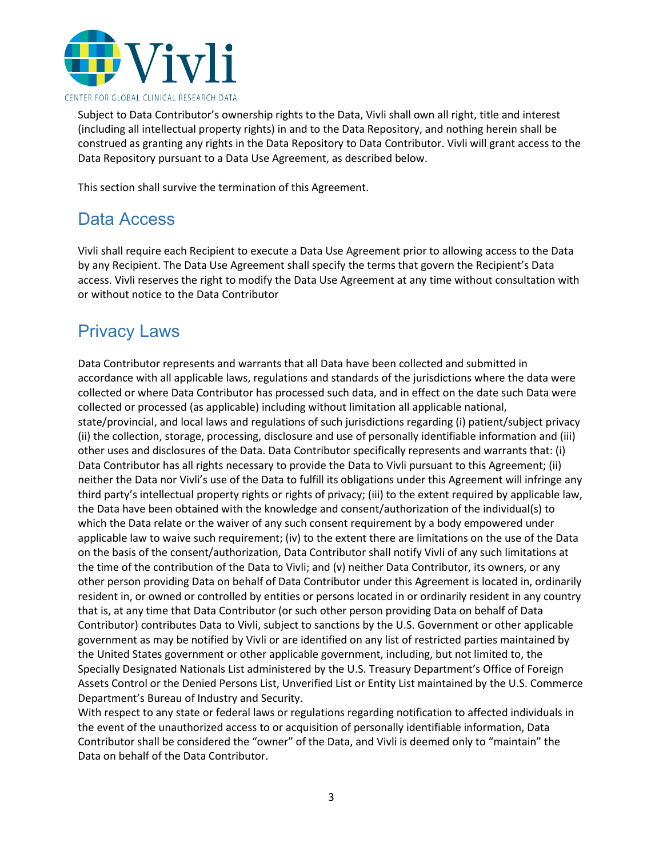

Subject to Data Contributor's ownership rights to the Data, Vivli shall own all right, title and interest (including all intellectual property rights) in and to the Data Repository, and nothing herein shall be construed as granting any rights in the Data Repository to Data Contributor. Vivli will grant access to the Data Repository pursuant to a Data Use Agreement, as described below.

This section shall survive the termination of this Agreement.

#### Data Access

Vivli shall require each Recipient to execute a Data Use Agreement prior to allowing access to the Data by any Recipient. The Data Use Agreement shall specify the terms that govern the Recipient's Data access. Vivli reserves the right to modify the Data Use Agreement at any time without consultation with or without notice to the Data Contributor

#### Privacy Laws

Data Contributor represents and warrants that all Data have been collected and submitted in accordance with all applicable laws, regulations and standards of the jurisdictions where the data were collected or where Data Contributor has processed such data, and in effect on the date such Data were collected or processed (as applicable) including without limitation all applicable national, state/provincial, and local laws and regulations of such jurisdictions regarding (i) patient/subject privacy (ii) the collection, storage, processing, disclosure and use of personally identifiable information and (iii) other uses and disclosures of the Data. Data Contributor specifically represents and warrants that: (i) Data Contributor has all rights necessary to provide the Data to Vivli pursuant to this Agreement; (ii) neither the Data nor Vivli's use of the Data to fulfill its obligations under this Agreement will infringe any third party's intellectual property rights or rights of privacy; (iii) to the extent required by applicable law, the Data have been obtained with the knowledge and consent/authorization of the individual(s) to which the Data relate or the waiver of any such consent requirement by a body empowered under applicable law to waive such requirement; (iv) to the extent there are limitations on the use of the Data on the basis of the consent/authorization, Data Contributor shall notify Vivli of any such limitations at the time of the contribution of the Data to Vivli; and (v) neither Data Contributor, its owners, or any other person providing Data on behalf of Data Contributor under this Agreement is located in, ordinarily resident in, or owned or controlled by entities or persons located in or ordinarily resident in any country that is, at any time that Data Contributor (or such other person providing Data on behalf of Data Contributor) contributes Data to Vivli, subject to sanctions by the U.S. Government or other applicable government as may be notified by Vivli or are identified on any list of restricted parties maintained by the United States government or other applicable government, including, but not limited to, the Specially Designated Nationals List administered by the U.S. Treasury Department's Office of Foreign Assets Control or the Denied Persons List, Unverified List or Entity List maintained by the U.S. Commerce Department's Bureau of Industry and Security.

With respect to any state or federal laws or regulations regarding notification to affected individuals in the event of the unauthorized access to or acquisition of personally identifiable information, Data Contributor shall be considered the "owner" of the Data, and Vivli is deemed only to "maintain" the Data on behalf of the Data Contributor.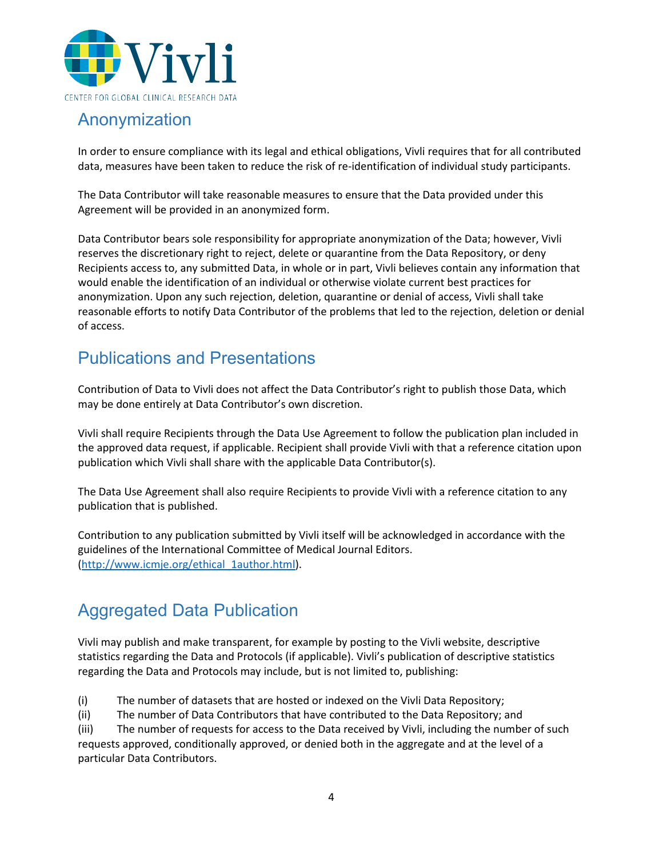

#### Anonymization

In order to ensure compliance with its legal and ethical obligations, Vivli requires that for all contributed data, measures have been taken to reduce the risk of re-identification of individual study participants.

The Data Contributor will take reasonable measures to ensure that the Data provided under this Agreement will be provided in an anonymized form.

Data Contributor bears sole responsibility for appropriate anonymization of the Data; however, Vivli reserves the discretionary right to reject, delete or quarantine from the Data Repository, or deny Recipients access to, any submitted Data, in whole or in part, Vivli believes contain any information that would enable the identification of an individual or otherwise violate current best practices for anonymization. Upon any such rejection, deletion, quarantine or denial of access, Vivli shall take reasonable efforts to notify Data Contributor of the problems that led to the rejection, deletion or denial of access.

## Publications and Presentations

Contribution of Data to Vivli does not affect the Data Contributor's right to publish those Data, which may be done entirely at Data Contributor's own discretion.

Vivli shall require Recipients through the Data Use Agreement to follow the publication plan included in the approved data request, if applicable. Recipient shall provide Vivli with that a reference citation upon publication which Vivli shall share with the applicable Data Contributor(s).

The Data Use Agreement shall also require Recipients to provide Vivli with a reference citation to any publication that is published.

Contribution to any publication submitted by Vivli itself will be acknowledged in accordance with the guidelines of the International Committee of Medical Journal Editors. [\(http://www.icmje.org/ethical\\_1author.html\)](http://www.icmje.org/ethical_1author.html).

# Aggregated Data Publication

Vivli may publish and make transparent, for example by posting to the Vivli website, descriptive statistics regarding the Data and Protocols (if applicable). Vivli's publication of descriptive statistics regarding the Data and Protocols may include, but is not limited to, publishing:

(i) The number of datasets that are hosted or indexed on the Vivli Data Repository;

(ii) The number of Data Contributors that have contributed to the Data Repository; and

(iii) The number of requests for access to the Data received by Vivli, including the number of such requests approved, conditionally approved, or denied both in the aggregate and at the level of a particular Data Contributors.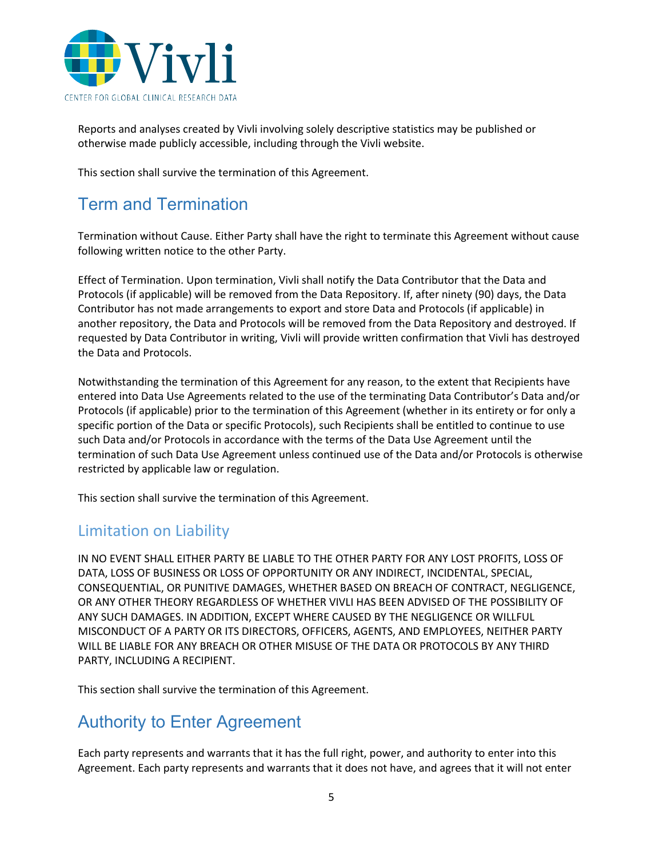

Reports and analyses created by Vivli involving solely descriptive statistics may be published or otherwise made publicly accessible, including through the Vivli website.

This section shall survive the termination of this Agreement.

#### Term and Termination

Termination without Cause. Either Party shall have the right to terminate this Agreement without cause following written notice to the other Party.

Effect of Termination. Upon termination, Vivli shall notify the Data Contributor that the Data and Protocols (if applicable) will be removed from the Data Repository. If, after ninety (90) days, the Data Contributor has not made arrangements to export and store Data and Protocols (if applicable) in another repository, the Data and Protocols will be removed from the Data Repository and destroyed. If requested by Data Contributor in writing, Vivli will provide written confirmation that Vivli has destroyed the Data and Protocols.

Notwithstanding the termination of this Agreement for any reason, to the extent that Recipients have entered into Data Use Agreements related to the use of the terminating Data Contributor's Data and/or Protocols (if applicable) prior to the termination of this Agreement (whether in its entirety or for only a specific portion of the Data or specific Protocols), such Recipients shall be entitled to continue to use such Data and/or Protocols in accordance with the terms of the Data Use Agreement until the termination of such Data Use Agreement unless continued use of the Data and/or Protocols is otherwise restricted by applicable law or regulation.

This section shall survive the termination of this Agreement.

#### Limitation on Liability

IN NO EVENT SHALL EITHER PARTY BE LIABLE TO THE OTHER PARTY FOR ANY LOST PROFITS, LOSS OF DATA, LOSS OF BUSINESS OR LOSS OF OPPORTUNITY OR ANY INDIRECT, INCIDENTAL, SPECIAL, CONSEQUENTIAL, OR PUNITIVE DAMAGES, WHETHER BASED ON BREACH OF CONTRACT, NEGLIGENCE, OR ANY OTHER THEORY REGARDLESS OF WHETHER VIVLI HAS BEEN ADVISED OF THE POSSIBILITY OF ANY SUCH DAMAGES. IN ADDITION, EXCEPT WHERE CAUSED BY THE NEGLIGENCE OR WILLFUL MISCONDUCT OF A PARTY OR ITS DIRECTORS, OFFICERS, AGENTS, AND EMPLOYEES, NEITHER PARTY WILL BE LIABLE FOR ANY BREACH OR OTHER MISUSE OF THE DATA OR PROTOCOLS BY ANY THIRD PARTY, INCLUDING A RECIPIENT.

This section shall survive the termination of this Agreement.

#### Authority to Enter Agreement

Each party represents and warrants that it has the full right, power, and authority to enter into this Agreement. Each party represents and warrants that it does not have, and agrees that it will not enter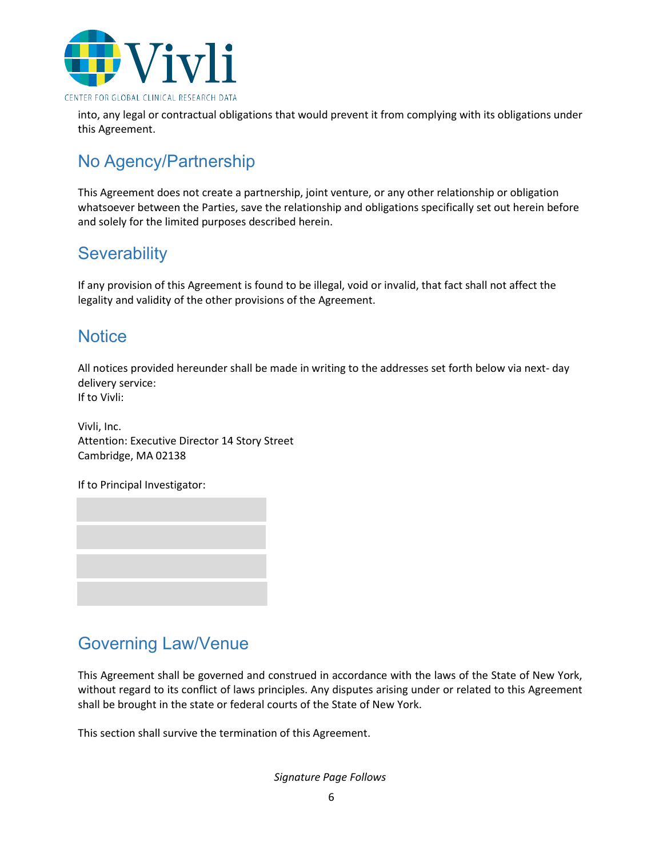

into, any legal or contractual obligations that would prevent it from complying with its obligations under this Agreement.

# No Agency/Partnership

This Agreement does not create a partnership, joint venture, or any other relationship or obligation whatsoever between the Parties, save the relationship and obligations specifically set out herein before and solely for the limited purposes described herein.

#### **Severability**

If any provision of this Agreement is found to be illegal, void or invalid, that fact shall not affect the legality and validity of the other provisions of the Agreement.

#### **Notice**

All notices provided hereunder shall be made in writing to the addresses set forth below via next- day delivery service: If to Vivli:

Vivli, Inc. Attention: Executive Director 14 Story Street Cambridge, MA 02138

If to Principal Investigator:



#### Governing Law/Venue

This Agreement shall be governed and construed in accordance with the laws of the State of New York, without regard to its conflict of laws principles. Any disputes arising under or related to this Agreement shall be brought in the state or federal courts of the State of New York.

This section shall survive the termination of this Agreement.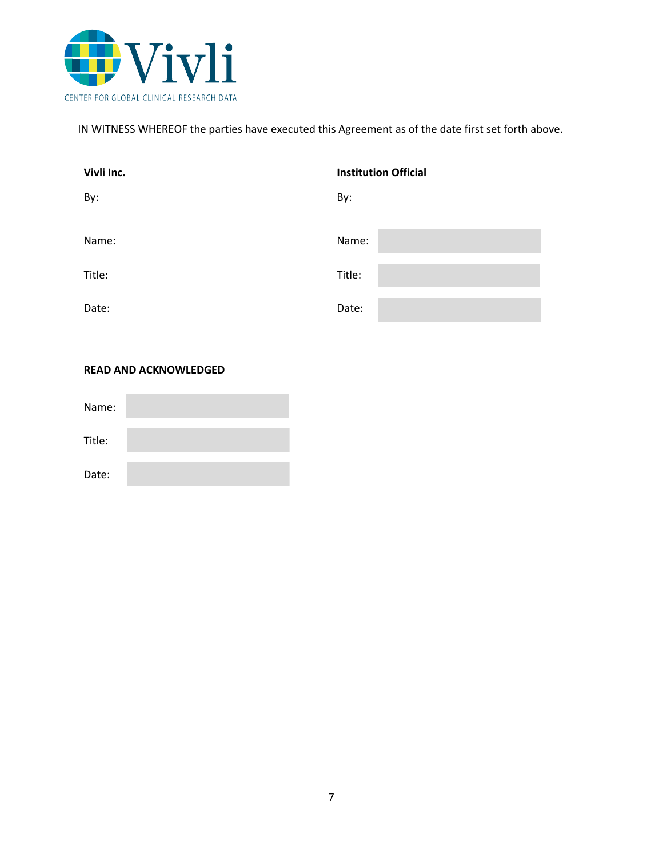

IN WITNESS WHEREOF the parties have executed this Agreement as of the date first set forth above.

| Vivli Inc. | <b>Institution Official</b> |
|------------|-----------------------------|
| By:        | By:                         |
|            |                             |
| Name:      | Name:                       |
|            |                             |
| Title:     | Title:                      |
| Date:      | Date:                       |

#### **READ AND ACKNOWLEDGED**

| Name:  |  |
|--------|--|
| Title: |  |
| Date:  |  |